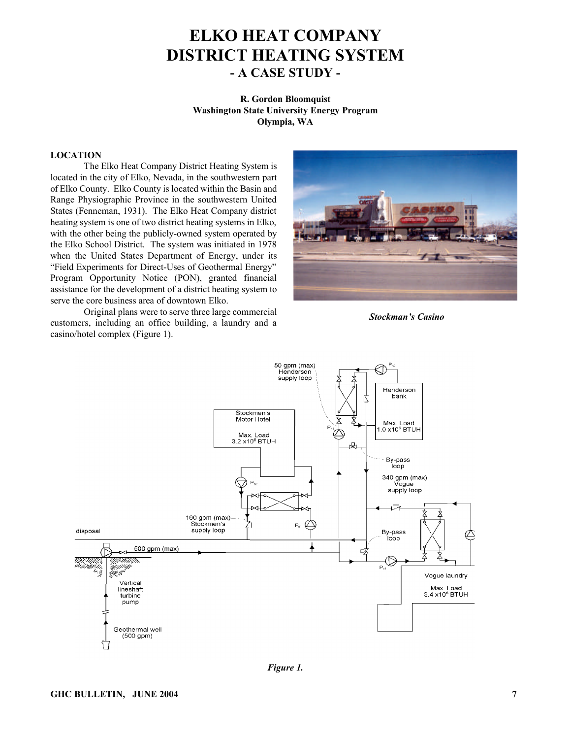# **ELKO HEAT COMPANY DISTRICT HEATING SYSTEM - A CASE STUDY -**

**R. Gordon Bloomquist Washington State University Energy Program Olympia, WA**

#### **LOCATION**

The Elko Heat Company District Heating System is located in the city of Elko, Nevada, in the southwestern part of Elko County. Elko County is located within the Basin and Range Physiographic Province in the southwestern United States (Fenneman, 1931). The Elko Heat Company district heating system is one of two district heating systems in Elko, with the other being the publicly-owned system operated by the Elko School District. The system was initiated in 1978 when the United States Department of Energy, under its "Field Experiments for Direct-Uses of Geothermal Energy" Program Opportunity Notice (PON), granted financial assistance for the development of a district heating system to serve the core business area of downtown Elko.

Original plans were to serve three large commercial customers, including an office building, a laundry and a casino/hotel complex (Figure 1).



*Stockman's Casino*



*Figure 1.*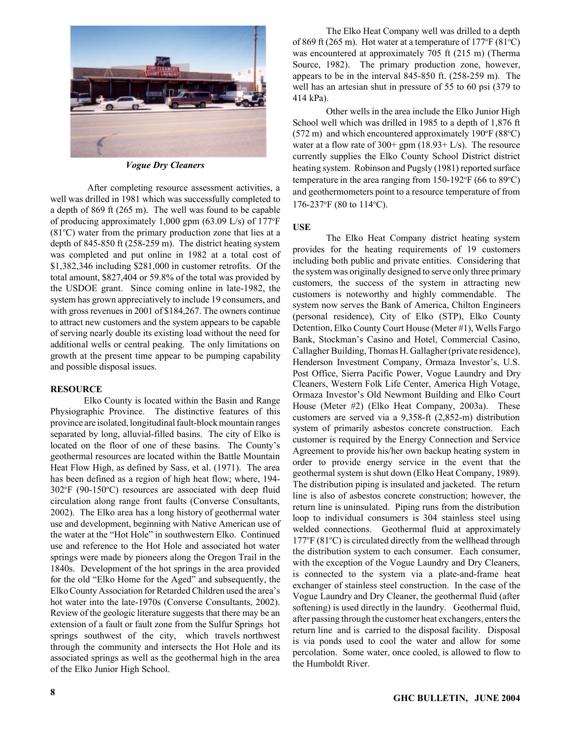

*Vogue Dry Cleaners*

 After completing resource assessment activities, a well was drilled in 1981 which was successfully completed to a depth of 869 ft (265 m). The well was found to be capable of producing approximately 1,000 gpm  $(63.09 \text{ L/s})$  of 177°F  $(81^{\circ}C)$  water from the primary production zone that lies at a depth of 845-850 ft (258-259 m). The district heating system was completed and put online in 1982 at a total cost of \$1,382,346 including \$281,000 in customer retrofits. Of the total amount, \$827,404 or 59.8% of the total was provided by the USDOE grant. Since coming online in late-1982, the system has grown appreciatively to include 19 consumers, and with gross revenues in 2001 of \$184,267. The owners continue to attract new customers and the system appears to be capable of serving nearly double its existing load without the need for additional wells or central peaking. The only limitations on growth at the present time appear to be pumping capability and possible disposal issues.

# **RESOURCE**

Elko County is located within the Basin and Range Physiographic Province. The distinctive features of this province are isolated, longitudinal fault-block mountain ranges separated by long, alluvial-filled basins. The city of Elko is located on the floor of one of these basins. The County's geothermal resources are located within the Battle Mountain Heat Flow High, as defined by Sass, et al. (1971). The area has been defined as a region of high heat flow; where, 194-  $302^{\circ}F$  (90-150 $^{\circ}C$ ) resources are associated with deep fluid circulation along range front faults (Converse Consultants, 2002). The Elko area has a long history of geothermal water use and development, beginning with Native American use of the water at the "Hot Hole" in southwestern Elko. Continued use and reference to the Hot Hole and associated hot water springs were made by pioneers along the Oregon Trail in the 1840s. Development of the hot springs in the area provided for the old "Elko Home for the Aged" and subsequently, the Elko County Association for Retarded Children used the area's hot water into the late-1970s (Converse Consultants, 2002). Review of the geologic literature suggests that there may be an extension of a fault or fault zone from the Sulfur Springs hot springs southwest of the city, which travels northwest through the community and intersects the Hot Hole and its associated springs as well as the geothermal high in the area of the Elko Junior High School.

The Elko Heat Company well was drilled to a depth of 869 ft (265 m). Hot water at a temperature of  $177^{\circ}F(81^{\circ}C)$ was encountered at approximately 705 ft (215 m) (Therma Source, 1982). The primary production zone, however, appears to be in the interval 845-850 ft. (258-259 m). The well has an artesian shut in pressure of 55 to 60 psi (379 to 414 kPa).

Other wells in the area include the Elko Junior High School well which was drilled in 1985 to a depth of 1,876 ft (572 m) and which encountered approximately  $190^{\circ}F(88^{\circ}C)$ water at a flow rate of  $300+$  gpm  $(18.93+$  L/s). The resource currently supplies the Elko County School District district heating system. Robinson and Pugsly (1981) reported surface temperature in the area ranging from  $150-192$ °F (66 to 89°C) and geothermometers point to a resource temperature of from 176-237°F (80 to 114°C).

# **USE**

The Elko Heat Company district heating system provides for the heating requirements of 19 customers including both public and private entities. Considering that the system was originally designed to serve only three primary customers, the success of the system in attracting new customers is noteworthy and highly commendable. The system now serves the Bank of America, Chilton Engineers (personal residence), City of Elko (STP), Elko County Detention, Elko County Court House (Meter #1), Wells Fargo Bank, Stockman's Casino and Hotel, Commercial Casino, Callagher Building, Thomas H. Gallagher (private residence), Henderson Investment Company, Ormaza Investor's, U.S. Post Office, Sierra Pacific Power, Vogue Laundry and Dry Cleaners, Western Folk Life Center, America High Votage, Ormaza Investor's Old Newmont Building and Elko Court House (Meter #2) (Elko Heat Company, 2003a). These customers are served via a 9,358-ft (2,852-m) distribution system of primarily asbestos concrete construction. Each customer is required by the Energy Connection and Service Agreement to provide his/her own backup heating system in order to provide energy service in the event that the geothermal system is shut down (Elko Heat Company, 1989). The distribution piping is insulated and jacketed. The return line is also of asbestos concrete construction; however, the return line is uninsulated. Piping runs from the distribution loop to individual consumers is 304 stainless steel using welded connections. Geothermal fluid at approximately  $177^{\circ}$ F (81 $^{\circ}$ C) is circulated directly from the wellhead through the distribution system to each consumer. Each consumer, with the exception of the Vogue Laundry and Dry Cleaners, is connected to the system via a plate-and-frame heat exchanger of stainless steel construction. In the case of the Vogue Laundry and Dry Cleaner, the geothermal fluid (after softening) is used directly in the laundry. Geothermal fluid, after passing through the customer heat exchangers, enters the return line and is carried to the disposal facility. Disposal is via ponds used to cool the water and allow for some percolation. Some water, once cooled, is allowed to flow to the Humboldt River.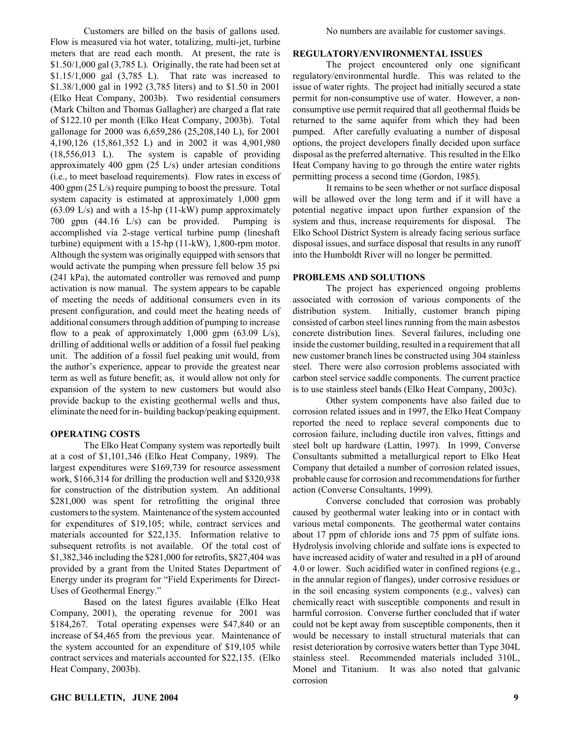Customers are billed on the basis of gallons used. Flow is measured via hot water, totalizing, multi-jet, turbine meters that are read each month. At present, the rate is  $$1.50/1,000$  gal  $(3,785)$ . Originally, the rate had been set at \$1.15/1,000 gal (3,785 L). That rate was increased to \$1.38/1,000 gal in 1992 (3,785 liters) and to \$1.50 in 2001 (Elko Heat Company, 2003b). Two residential consumers (Mark Chilton and Thomas Gallagher) are charged a flat rate of \$122.10 per month (Elko Heat Company, 2003b). Total gallonage for 2000 was 6,659,286 (25,208,140 L), for 2001 4,190,126 (15,861,352 L) and in 2002 it was 4,901,980 (18,556,013 L). The system is capable of providing approximately 400 gpm (25 L/s) under artesian conditions (i.e., to meet baseload requirements). Flow rates in excess of 400 gpm (25 L/s) require pumping to boost the pressure. Total system capacity is estimated at approximately 1,000 gpm (63.09 L/s) and with a 15-hp (11-kW) pump approximately 700 gpm (44.16 L/s) can be provided. Pumping is accomplished via 2-stage vertical turbine pump (lineshaft turbine) equipment with a 15-hp (11-kW), 1,800-rpm motor. Although the system was originally equipped with sensors that would activate the pumping when pressure fell below 35 psi (241 kPa), the automated controller was removed and pump activation is now manual. The system appears to be capable of meeting the needs of additional consumers even in its present configuration, and could meet the heating needs of additional consumers through addition of pumping to increase flow to a peak of approximately  $1,000$  gpm  $(63.09 \text{ L/s})$ , drilling of additional wells or addition of a fossil fuel peaking unit. The addition of a fossil fuel peaking unit would, from the author's experience, appear to provide the greatest near term as well as future benefit; as, it would allow not only for expansion of the system to new customers but would also provide backup to the existing geothermal wells and thus, eliminate the need for in- building backup/peaking equipment.

#### **OPERATING COSTS**

The Elko Heat Company system was reportedly built at a cost of \$1,101,346 (Elko Heat Company, 1989). The largest expenditures were \$169,739 for resource assessment work, \$166,314 for drilling the production well and \$320,938 for construction of the distribution system. An additional \$281,000 was spent for retrofitting the original three customers to the system. Maintenance of the system accounted for expenditures of \$19,105; while, contract services and materials accounted for \$22,135. Information relative to subsequent retrofits is not available. Of the total cost of \$1,382,346 including the \$281,000 for retrofits, \$827,404 was provided by a grant from the United States Department of Energy under its program for "Field Experiments for Direct-Uses of Geothermal Energy."

Based on the latest figures available (Elko Heat Company, 2001), the operating revenue for 2001 was \$184,267. Total operating expenses were \$47,840 or an increase of \$4,465 from the previous year. Maintenance of the system accounted for an expenditure of \$19,105 while contract services and materials accounted for \$22,135. (Elko Heat Company, 2003b).

## **REGULATORY/ENVIRONMENTAL ISSUES**

The project encountered only one significant regulatory/environmental hurdle. This was related to the issue of water rights. The project had initially secured a state permit for non-consumptive use of water. However, a nonconsumptive use permit required that all geothermal fluids be returned to the same aquifer from which they had been pumped. After carefully evaluating a number of disposal options, the project developers finally decided upon surface disposal as the preferred alternative. This resulted in the Elko Heat Company having to go through the entire water rights permitting process a second time (Gordon, 1985).

It remains to be seen whether or not surface disposal will be allowed over the long term and if it will have a potential negative impact upon further expansion of the system and thus, increase requirements for disposal. The Elko School District System is already facing serious surface disposal issues, and surface disposal that results in any runoff into the Humboldt River will no longer be permitted.

# **PROBLEMS AND SOLUTIONS**

The project has experienced ongoing problems associated with corrosion of various components of the distribution system. Initially, customer branch piping consisted of carbon steel lines running from the main asbestos concrete distribution lines. Several failures, including one inside the customer building, resulted in a requirement that all new customer branch lines be constructed using 304 stainless steel. There were also corrosion problems associated with carbon steel service saddle components. The current practice is to use stainless steel bands (Elko Heat Company, 2003c).

Other system components have also failed due to corrosion related issues and in 1997, the Elko Heat Company reported the need to replace several components due to corrosion failure, including ductile iron valves, fittings and steel bolt up hardware (Lattin, 1997). In 1999, Converse Consultants submitted a metallurgical report to Elko Heat Company that detailed a number of corrosion related issues, probable cause for corrosion and recommendations for further action (Converse Consultants, 1999).

Converse concluded that corrosion was probably caused by geothermal water leaking into or in contact with various metal components. The geothermal water contains about 17 ppm of chloride ions and 75 ppm of sulfate ions. Hydrolysis involving chloride and sulfate ions is expected to have increased acidity of water and resulted in a pH of around 4.0 or lower. Such acidified water in confined regions (e.g., in the annular region of flanges), under corrosive residues or in the soil encasing system components (e.g., valves) can chemically react with susceptible components and result in harmful corrosion. Converse further concluded that if water could not be kept away from susceptible components, then it would be necessary to install structural materials that can resist deterioration by corrosive waters better than Type 304L stainless steel. Recommended materials included 310L, Monel and Titanium. It was also noted that galvanic corrosion